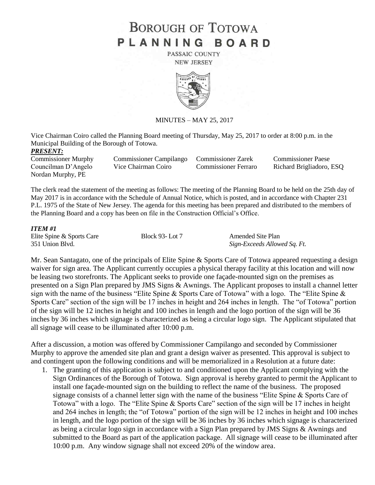# **BOROUGH OF TOTOWA** PLANNING BOARD

PASSAIC COUNTY **NEW JERSEY** 



MINUTES – MAY 25, 2017

|                                              | Vice Chairman Coiro called the Planning Board meeting of Thursday, May 25, 2017 to order at 8:00 p.m. in the |                             |                           |
|----------------------------------------------|--------------------------------------------------------------------------------------------------------------|-----------------------------|---------------------------|
| Municipal Building of the Borough of Totowa. |                                                                                                              |                             |                           |
| <i>PRESENT:</i>                              |                                                                                                              |                             |                           |
| <b>Commissioner Murphy</b>                   | <b>Commissioner Campilango</b>                                                                               | <b>Commissioner Zarek</b>   | <b>Commissioner Paese</b> |
| Councilman D'Angelo                          | Vice Chairman Coiro                                                                                          | <b>Commissioner Ferraro</b> | Richard Brigliadoro, ESQ  |
| Nordan Murphy, PE                            |                                                                                                              |                             |                           |

The clerk read the statement of the meeting as follows: The meeting of the Planning Board to be held on the 25th day of May 2017 is in accordance with the Schedule of Annual Notice, which is posted, and in accordance with Chapter 231 P.L. 1975 of the State of New Jersey. The agenda for this meeting has been prepared and distributed to the members of the Planning Board and a copy has been on file in the Construction Official's Office.

#### *ITEM #1*

| Elite Spine & Sports Care | <b>Block 93-Lot 7</b> | Amended Site Plan            |
|---------------------------|-----------------------|------------------------------|
| 351 Union Blvd.           |                       | Sign-Exceeds Allowed Sq. Ft. |

Mr. Sean Santagato, one of the principals of Elite Spine & Sports Care of Totowa appeared requesting a design waiver for sign area. The Applicant currently occupies a physical therapy facility at this location and will now be leasing two storefronts. The Applicant seeks to provide one façade-mounted sign on the premises as presented on a Sign Plan prepared by JMS Signs & Awnings. The Applicant proposes to install a channel letter sign with the name of the business "Elite Spine & Sports Care of Totowa" with a logo. The "Elite Spine & Sports Care" section of the sign will be 17 inches in height and 264 inches in length. The "of Totowa" portion of the sign will be 12 inches in height and 100 inches in length and the logo portion of the sign will be 36 inches by 36 inches which signage is characterized as being a circular logo sign. The Applicant stipulated that all signage will cease to be illuminated after 10:00 p.m.

After a discussion, a motion was offered by Commissioner Campilango and seconded by Commissioner Murphy to approve the amended site plan and grant a design waiver as presented. This approval is subject to and contingent upon the following conditions and will be memorialized in a Resolution at a future date:

1. The granting of this application is subject to and conditioned upon the Applicant complying with the Sign Ordinances of the Borough of Totowa. Sign approval is hereby granted to permit the Applicant to install one façade-mounted sign on the building to reflect the name of the business. The proposed signage consists of a channel letter sign with the name of the business "Elite Spine & Sports Care of Totowa" with a logo. The "Elite Spine & Sports Care" section of the sign will be 17 inches in height and 264 inches in length; the "of Totowa" portion of the sign will be 12 inches in height and 100 inches in length, and the logo portion of the sign will be 36 inches by 36 inches which signage is characterized as being a circular logo sign in accordance with a Sign Plan prepared by JMS Signs & Awnings and submitted to the Board as part of the application package. All signage will cease to be illuminated after 10:00 p.m. Any window signage shall not exceed 20% of the window area.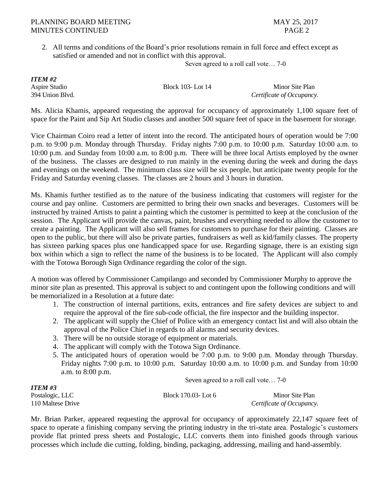2. All terms and conditions of the Board's prior resolutions remain in full force and effect except as satisfied or amended and not in conflict with this approval.

Seven agreed to a roll call vote… 7-0

*ITEM #2*

Aspire Studio Block 103- Lot 14 Minor Site Plan 394 Union Blvd. *Certificate of Occupancy.*

Ms. Alicia Khamis, appeared requesting the approval for occupancy of approximately 1,100 square feet of space for the Paint and Sip Art Studio classes and another 500 square feet of space in the basement for storage.

Vice Chairman Coiro read a letter of intent into the record. The anticipated hours of operation would be 7:00 p.m. to 9:00 p.m. Monday through Thursday. Friday nights 7:00 p.m. to 10:00 p.m. Saturday 10:00 a.m. to 10:00 p.m. and Sunday from 10:00 a.m. to 8:00 p.m. There will be three local Artists employed by the owner of the business. The classes are designed to run mainly in the evening during the week and during the days and evenings on the weekend. The minimum class size will be six people, but anticipate twenty people for the Friday and Saturday evening classes. The classes are 2 hours and 3 hours in duration.

Ms. Khamis further testified as to the nature of the business indicating that customers will register for the course and pay online. Customers are permitted to bring their own snacks and beverages. Customers will be instructed by trained Artists to paint a painting which the customer is permitted to keep at the conclusion of the session. The Applicant will provide the canvas, paint, brushes and everything needed to allow the customer to create a painting. The Applicant will also sell frames for customers to purchase for their painting. Classes are open to the public, but there will also be private parties, fundraisers as well as kid/family classes. The property has sixteen parking spaces plus one handicapped space for use. Regarding signage, there is an existing sign box within which a sign to reflect the name of the business is to be located. The Applicant will also comply with the Totowa Borough Sign Ordinance regarding the color of the sign.

A motion was offered by Commissioner Campilango and seconded by Commissioner Murphy to approve the minor site plan as presented. This approval is subject to and contingent upon the following conditions and will be memorialized in a Resolution at a future date:

- 1. The construction of internal partitions, exits, entrances and fire safety devices are subject to and require the approval of the fire sub-code official, the fire inspector and the building inspector.
- 2. The applicant will supply the Chief of Police with an emergency contact list and will also obtain the approval of the Police Chief in regards to all alarms and security devices.
- 3. There will be no outside storage of equipment or materials.
- 4. The applicant will comply with the Totowa Sign Ordinance.
- 5. The anticipated hours of operation would be 7:00 p.m. to 9:00 p.m. Monday through Thursday. Friday nights 7:00 p.m. to 10:00 p.m. Saturday 10:00 a.m. to 10:00 p.m. and Sunday from 10:00 a.m. to 8:00 p.m.

Seven agreed to a roll call vote… 7-0

| ITEM #3           |                     |                           |
|-------------------|---------------------|---------------------------|
| Postalogic, LLC   | Block 170.03- Lot 6 | Minor Site Plan           |
| 110 Maltese Drive |                     | Certificate of Occupancy. |

Mr. Brian Parker, appeared requesting the approval for occupancy of approximately 22,147 square feet of space to operate a finishing company serving the printing industry in the tri-state area. Postalogic's customers provide flat printed press sheets and Postalogic, LLC converts them into finished goods through various processes which include die cutting, folding, binding, packaging, addressing, mailing and hand-assembly.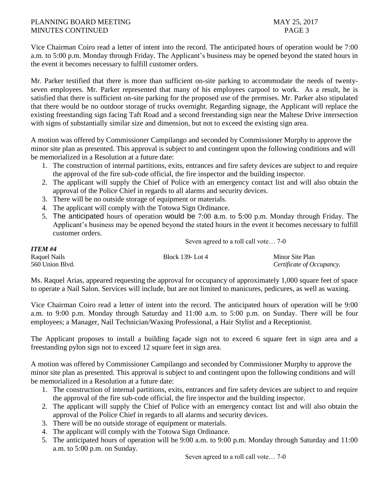Vice Chairman Coiro read a letter of intent into the record. The anticipated hours of operation would be 7:00 a.m. to 5:00 p.m. Monday through Friday. The Applicant's business may be opened beyond the stated hours in the event it becomes necessary to fulfill customer orders.

Mr. Parker testified that there is more than sufficient on-site parking to accommodate the needs of twentyseven employees. Mr. Parker represented that many of his employees carpool to work. As a result, he is satisfied that there is sufficient on-site parking for the proposed use of the premises. Mr. Parker also stipulated that there would be no outdoor storage of trucks overnight. Regarding signage, the Applicant will replace the existing freestanding sign facing Taft Road and a second freestanding sign near the Maltese Drive intersection with signs of substantially similar size and dimension, but not to exceed the existing sign area.

A motion was offered by Commissioner Campilango and seconded by Commissioner Murphy to approve the minor site plan as presented. This approval is subject to and contingent upon the following conditions and will be memorialized in a Resolution at a future date:

- 1. The construction of internal partitions, exits, entrances and fire safety devices are subject to and require the approval of the fire sub-code official, the fire inspector and the building inspector.
- 2. The applicant will supply the Chief of Police with an emergency contact list and will also obtain the approval of the Police Chief in regards to all alarms and security devices.
- 3. There will be no outside storage of equipment or materials.
- 4. The applicant will comply with the Totowa Sign Ordinance.
- 5. The anticipated hours of operation would be 7:00 a.m. to 5:00 p.m. Monday through Friday. The Applicant's business may be opened beyond the stated hours in the event it becomes necessary to fulfill customer orders.

| Seven agreed to a roll call vote 7-0 |  |
|--------------------------------------|--|
|--------------------------------------|--|

| ITEM #4         |                  |                           |
|-----------------|------------------|---------------------------|
| Raquel Nails    | Block 139- Lot 4 | Minor Site Plan           |
| 560 Union Blvd. |                  | Certificate of Occupancy. |

Ms. Raquel Arias, appeared requesting the approval for occupancy of approximately 1,000 square feet of space to operate a Nail Salon. Services will include, but are not limited to manicures, pedicures, as well as waxing.

Vice Chairman Coiro read a letter of intent into the record. The anticipated hours of operation will be 9:00 a.m. to 9:00 p.m. Monday through Saturday and 11:00 a.m. to 5:00 p.m. on Sunday. There will be four employees; a Manager, Nail Technician/Waxing Professional, a Hair Stylist and a Receptionist.

The Applicant proposes to install a building façade sign not to exceed 6 square feet in sign area and a freestanding pylon sign not to exceed 12 square feet in sign area.

A motion was offered by Commissioner Campilango and seconded by Commissioner Murphy to approve the minor site plan as presented. This approval is subject to and contingent upon the following conditions and will be memorialized in a Resolution at a future date:

- 1. The construction of internal partitions, exits, entrances and fire safety devices are subject to and require the approval of the fire sub-code official, the fire inspector and the building inspector.
- 2. The applicant will supply the Chief of Police with an emergency contact list and will also obtain the approval of the Police Chief in regards to all alarms and security devices.
- 3. There will be no outside storage of equipment or materials.
- 4. The applicant will comply with the Totowa Sign Ordinance.
- 5. The anticipated hours of operation will be 9:00 a.m. to 9:00 p.m. Monday through Saturday and 11:00 a.m. to 5:00 p.m. on Sunday.

Seven agreed to a roll call vote… 7-0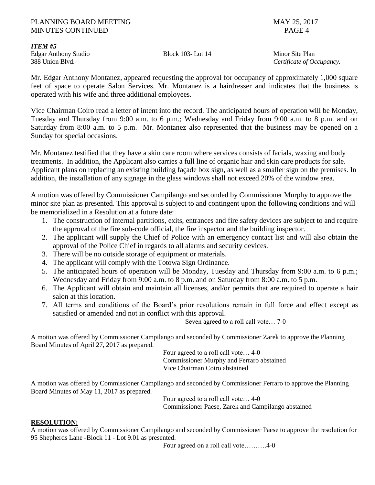Edgar Anthony Studio Block 103- Lot 14 Minor Site Plan

*ITEM #5*

388 Union Blvd. *Certificate of Occupancy.*

Mr. Edgar Anthony Montanez, appeared requesting the approval for occupancy of approximately 1,000 square feet of space to operate Salon Services. Mr. Montanez is a hairdresser and indicates that the business is operated with his wife and three additional employees.

Vice Chairman Coiro read a letter of intent into the record. The anticipated hours of operation will be Monday, Tuesday and Thursday from 9:00 a.m. to 6 p.m.; Wednesday and Friday from 9:00 a.m. to 8 p.m. and on Saturday from 8:00 a.m. to 5 p.m. Mr. Montanez also represented that the business may be opened on a Sunday for special occasions.

Mr. Montanez testified that they have a skin care room where services consists of facials, waxing and body treatments. In addition, the Applicant also carries a full line of organic hair and skin care products for sale. Applicant plans on replacing an existing building façade box sign, as well as a smaller sign on the premises. In addition, the installation of any signage in the glass windows shall not exceed 20% of the window area.

A motion was offered by Commissioner Campilango and seconded by Commissioner Murphy to approve the minor site plan as presented. This approval is subject to and contingent upon the following conditions and will be memorialized in a Resolution at a future date:

- 1. The construction of internal partitions, exits, entrances and fire safety devices are subject to and require the approval of the fire sub-code official, the fire inspector and the building inspector.
- 2. The applicant will supply the Chief of Police with an emergency contact list and will also obtain the approval of the Police Chief in regards to all alarms and security devices.
- 3. There will be no outside storage of equipment or materials.
- 4. The applicant will comply with the Totowa Sign Ordinance.
- 5. The anticipated hours of operation will be Monday, Tuesday and Thursday from 9:00 a.m. to 6 p.m.; Wednesday and Friday from 9:00 a.m. to 8 p.m. and on Saturday from 8:00 a.m. to 5 p.m.
- 6. The Applicant will obtain and maintain all licenses, and/or permits that are required to operate a hair salon at this location.
- 7. All terms and conditions of the Board's prior resolutions remain in full force and effect except as satisfied or amended and not in conflict with this approval.

Seven agreed to a roll call vote… 7-0

A motion was offered by Commissioner Campilango and seconded by Commissioner Zarek to approve the Planning Board Minutes of April 27, 2017 as prepared.

Four agreed to a roll call vote… 4-0 Commissioner Murphy and Ferraro abstained Vice Chairman Coiro abstained

A motion was offered by Commissioner Campilango and seconded by Commissioner Ferraro to approve the Planning Board Minutes of May 11, 2017 as prepared.

Four agreed to a roll call vote… 4-0 Commissioner Paese, Zarek and Campilango abstained

### **RESOLUTION:**

A motion was offered by Commissioner Campilango and seconded by Commissioner Paese to approve the resolution for 95 Shepherds Lane *-*Block 11 - Lot 9.01 as presented.

Four agreed on a roll call vote……….4-0